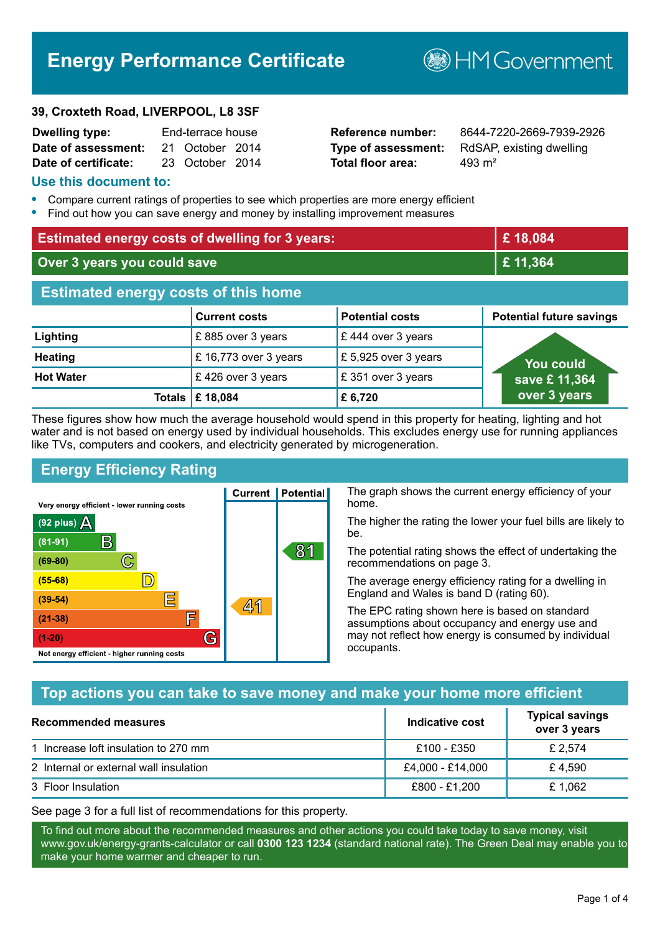# **Energy Performance Certificate**

#### **39, Croxteth Road, LIVERPOOL, L8 3SF**

| <b>Dwelling type:</b> | End-terrace house |                 |  |
|-----------------------|-------------------|-----------------|--|
| Date of assessment:   |                   | 21 October 2014 |  |
| Date of certificate:  |                   | 23 October 2014 |  |

# **Total floor area:** 293 m<sup>2</sup>

**Reference number:** 8644-7220-2669-7939-2926 **Type of assessment:** RdSAP, existing dwelling

**B**HM Government

#### **Use this document to:**

- **•** Compare current ratings of properties to see which properties are more energy efficient
- **•** Find out how you can save energy and money by installing improvement measures

| <b>Estimated energy costs of dwelling for 3 years:</b> |                       |                        | £18,084                         |
|--------------------------------------------------------|-----------------------|------------------------|---------------------------------|
| Over 3 years you could save                            |                       |                        | £11,364                         |
| <b>Estimated energy costs of this home</b>             |                       |                        |                                 |
|                                                        | <b>Current costs</b>  | <b>Potential costs</b> | <b>Potential future savings</b> |
| Lighting                                               | £885 over 3 years     | £444 over 3 years      |                                 |
| <b>Heating</b>                                         | £ 16,773 over 3 years | £5,925 over 3 years    | You could                       |
| <b>Hot Water</b>                                       | £426 over 3 years     | £351 over 3 years      | save £ 11,364                   |
|                                                        | Totals   £ 18,084     | £6,720                 | over 3 years                    |

These figures show how much the average household would spend in this property for heating, lighting and hot water and is not based on energy used by individual households. This excludes energy use for running appliances like TVs, computers and cookers, and electricity generated by microgeneration.

**Current | Potential** 

 $41$ 

# **Energy Efficiency Rating**

 $\mathbb{C}$ 

 $\mathbb{D}$ 

E

庐

G

Very energy efficient - lower running costs

 $\mathsf{R}% _{T}$ 

Not energy efficient - higher running costs

(92 plus)  $\Delta$ 

 $(81 - 91)$ 

 $(69 - 80)$ 

 $(55-68)$ 

 $(39 - 54)$ 

 $(21-38)$ 

 $(1-20)$ 

The graph shows the current energy efficiency of your home.

The higher the rating the lower your fuel bills are likely to be.

The potential rating shows the effect of undertaking the recommendations on page 3.

The average energy efficiency rating for a dwelling in England and Wales is band D (rating 60).

The EPC rating shown here is based on standard assumptions about occupancy and energy use and may not reflect how energy is consumed by individual occupants.

## **Top actions you can take to save money and make your home more efficient**

81

| <b>Recommended measures</b>            | Indicative cost  | <b>Typical savings</b><br>over 3 years |
|----------------------------------------|------------------|----------------------------------------|
| 1 Increase loft insulation to 270 mm   | £100 - £350      | £ 2.574                                |
| 2 Internal or external wall insulation | £4,000 - £14,000 | £4.590                                 |
| 3 Floor Insulation                     | £800 - £1,200    | £1.062                                 |

See page 3 for a full list of recommendations for this property.

To find out more about the recommended measures and other actions you could take today to save money, visit www.gov.uk/energy-grants-calculator or call **0300 123 1234** (standard national rate). The Green Deal may enable you to make your home warmer and cheaper to run.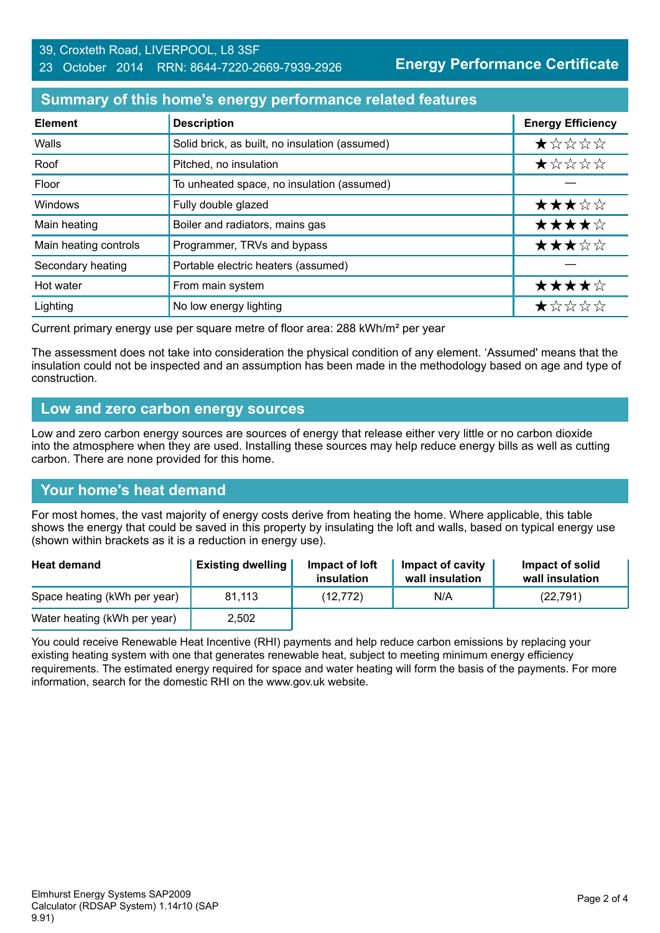#### 39, Croxteth Road, LIVERPOOL, L8 3SF 23 October 2014 RRN: 8644-7220-2669-7939-2926

**Energy Performance Certificate**

# **Summary of this home's energy performance related features**

| <b>Element</b>        | <b>Description</b>                             | <b>Energy Efficiency</b> |
|-----------------------|------------------------------------------------|--------------------------|
| Walls                 | Solid brick, as built, no insulation (assumed) | ★☆☆☆☆                    |
| Roof                  | Pitched, no insulation                         | ★☆☆☆☆                    |
| Floor                 | To unheated space, no insulation (assumed)     |                          |
| Windows               | Fully double glazed                            | ★★★☆☆                    |
| Main heating          | Boiler and radiators, mains gas                | ★★★★☆                    |
| Main heating controls | Programmer, TRVs and bypass                    | ★★★☆☆                    |
| Secondary heating     | Portable electric heaters (assumed)            |                          |
| Hot water             | From main system                               | ★★★★☆                    |
| Lighting              | No low energy lighting                         | *****                    |

Current primary energy use per square metre of floor area: 288 kWh/m² per year

The assessment does not take into consideration the physical condition of any element. 'Assumed' means that the insulation could not be inspected and an assumption has been made in the methodology based on age and type of construction.

#### **Low and zero carbon energy sources**

Low and zero carbon energy sources are sources of energy that release either very little or no carbon dioxide into the atmosphere when they are used. Installing these sources may help reduce energy bills as well as cutting carbon. There are none provided for this home.

## **Your home's heat demand**

For most homes, the vast majority of energy costs derive from heating the home. Where applicable, this table shows the energy that could be saved in this property by insulating the loft and walls, based on typical energy use (shown within brackets as it is a reduction in energy use).

| <b>Heat demand</b>           | <b>Existing dwelling</b> | Impact of loft<br>insulation | Impact of cavity<br>wall insulation | Impact of solid<br>wall insulation |
|------------------------------|--------------------------|------------------------------|-------------------------------------|------------------------------------|
| Space heating (kWh per year) | 81,113                   | (12, 772)                    | N/A                                 | (22, 791)                          |
| Water heating (kWh per year) | 2,502                    |                              |                                     |                                    |

You could receive Renewable Heat Incentive (RHI) payments and help reduce carbon emissions by replacing your existing heating system with one that generates renewable heat, subject to meeting minimum energy efficiency requirements. The estimated energy required for space and water heating will form the basis of the payments. For more information, search for the domestic RHI on the www.gov.uk website.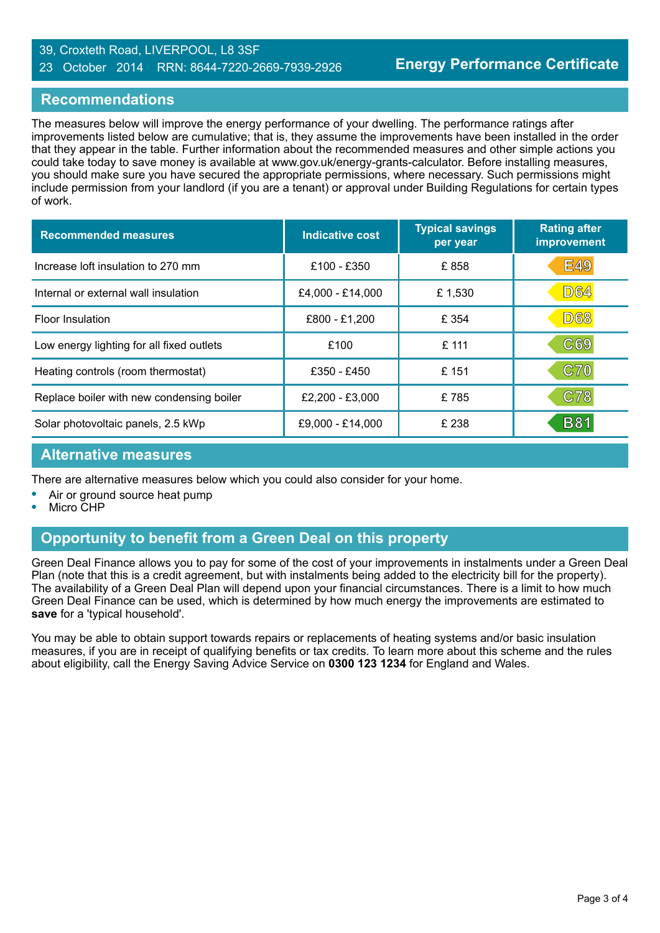#### 39, Croxteth Road, LIVERPOOL, L8 3SF 23 October 2014 RRN: 8644-7220-2669-7939-2926

#### **Recommendations**

The measures below will improve the energy performance of your dwelling. The performance ratings after improvements listed below are cumulative; that is, they assume the improvements have been installed in the order that they appear in the table. Further information about the recommended measures and other simple actions you could take today to save money is available at www.gov.uk/energy-grants-calculator. Before installing measures, you should make sure you have secured the appropriate permissions, where necessary. Such permissions might include permission from your landlord (if you are a tenant) or approval under Building Regulations for certain types of work.

| <b>Recommended measures</b>               | Indicative cost  | <b>Typical savings</b><br>per year | <b>Rating after</b><br>improvement |
|-------------------------------------------|------------------|------------------------------------|------------------------------------|
| Increase loft insulation to 270 mm        | £100 - £350      | £858                               | <b>E49</b>                         |
| Internal or external wall insulation      | £4,000 - £14,000 | £1,530                             | <b>D64</b>                         |
| <b>Floor Insulation</b>                   | £800 - £1,200    | £ 354                              | <b>D68</b>                         |
| Low energy lighting for all fixed outlets | £100             | £ 111                              | C69                                |
| Heating controls (room thermostat)        | £350 - £450      | £151                               | <b>C70</b>                         |
| Replace boiler with new condensing boiler | £2,200 - £3,000  | £785                               | C78                                |
| Solar photovoltaic panels, 2.5 kWp        | £9,000 - £14,000 | £ 238                              | <b>B81</b>                         |

#### **Alternative measures**

There are alternative measures below which you could also consider for your home.

- **•** Air or ground source heat pump
- **•** Micro CHP

# **Opportunity to benefit from a Green Deal on this property**

Green Deal Finance allows you to pay for some of the cost of your improvements in instalments under a Green Deal Plan (note that this is a credit agreement, but with instalments being added to the electricity bill for the property). The availability of a Green Deal Plan will depend upon your financial circumstances. There is a limit to how much Green Deal Finance can be used, which is determined by how much energy the improvements are estimated to **save** for a 'typical household'.

You may be able to obtain support towards repairs or replacements of heating systems and/or basic insulation measures, if you are in receipt of qualifying benefits or tax credits. To learn more about this scheme and the rules about eligibility, call the Energy Saving Advice Service on **0300 123 1234** for England and Wales.